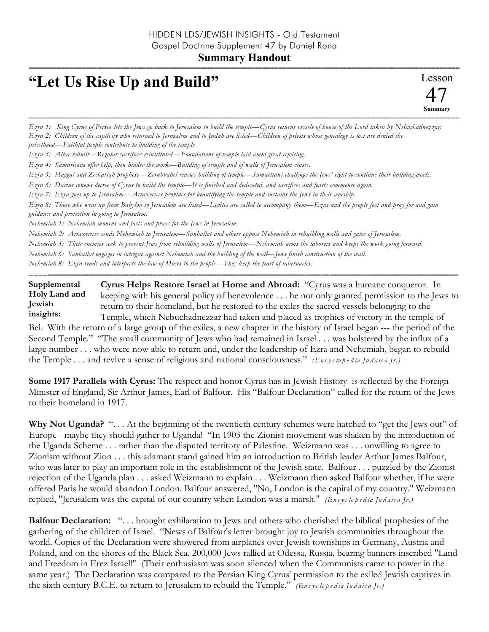## **Summary Handout**

===========================================================================================================

## **"Let Us Rise Up and Build"**

Lesson 47 **Summary** ===========================================================================================================

*Ezra 1: King Cyrus of Persia lets the Jews go back to Jerusalem to build the temple—Cyrus returns vessels of house of the Lord taken by Nebuchadnezzar. Ezra 2: Children of the captivity who returned to Jerusalem and to Judah are listed—Children of priests whose genealogy is lost are denied the priesthood—Faithful people contribute to building of the temple Ezra 3: Altar rebuilt—Regular sacrifices reinstituted—Foundations of temple laid amid great rejoicing. Ezra 4: Samaritans offer help, then hinder the work—Building of temple and of walls of Jerusalem ceases. Ezra 5: Haggai and Zechariah prophesy—Zerubbabel renews building of temple—Samaritans challenge the Jews' right to continue their building work. Ezra 6: Darius renews decree of Cyrus to build the temple—It is finished and dedicated, and sacrifices and feasts commence again. Ezra 7: Ezra goes up to Jerusalem—Artaxerxes provides for beautifying the temple and sustains the Jews in their worship. Ezra 8: Those who went up from Babylon to Jerusalem are listed—Levites are called to accompany them—Ezra and the people fast and pray for and gain guidance and protection in going to Jerusalem. Nehemiah 1: Nehemiah mourns and fasts and prays for the Jews in Jerusalem. Nehemiah 2: Artaxerxes sends Nehemiah to Jerusalem—Sanballat and others oppose Nehemiah in rebuilding walls and gates of Jerusalem.* 

*Nehemiah 4: Their enemies seek to prevent Jews from rebuilding walls of Jerusalem—Nehemiah arms the laborers and keeps the work going forward.* 

*Nehemiah 6: Sanballat engages in intrigue against Nehemiah and the building of the wall—Jews finish construction of the wall.* 

*Nehemiah 8: Ezra reads and interprets the law of Moses to the people—They keep the feast of tabernacles.*

**Cyrus Helps Restore Israel at Home and Abroad:** "Cyrus was a humane conqueror. In keeping with his general policy of benevolence . . . he not only granted permission to the Jews to return to their homeland, but he restored to the exiles the sacred vessels belonging to the Temple, which Nebuchadnezzar had taken and placed as trophies of victory in the temple of **Supplemental Holy Land and Jewish insights:**

==========================================================================================================

Bel. With the return of a large group of the exiles, a new chapter in the history of Israel began --- the period of the Second Temple." "The small community of Jews who had remained in Israel . . . was bolstered by the influx of a large number . . . who were now able to return and, under the leadership of Ezra and Nehemiah, began to rebuild the Temple ... and revive a sense of religious and national consciousness." *(Encyclopedia Judaica Jr.)* 

**Some 1917 Parallels with Cyrus:** The respect and honor Cyrus has in Jewish History is reflected by the Foreign Minister of England, Sir Arthur James, Earl of Balfour. His "Balfour Declaration" called for the return of the Jews to their homeland in 1917.

**Why Not Uganda?** ". . . At the beginning of the twentieth century schemes were hatched to "get the Jews out" of Europe - maybe they should gather to Uganda! "In 1903 the Zionist movement was shaken by the introduction of the Uganda Scheme . . . rather than the disputed territory of Palestine. Weizmann was . . . unwilling to agree to Zionism without Zion . . . this adamant stand gained him an introduction to British leader Arthur James Balfour, who was later to play an important role in the establishment of the Jewish state. Balfour . . . puzzled by the Zionist rejection of the Uganda plan . . . asked Weizmann to explain . . . Weizmann then asked Balfour whether, if he were offered Paris he would abandon London. Balfour answered, "No, London is the capital of my country." Weizmann replied, "Jerusalem was the capital of our country when London was a marsh." *(En c y c lo p e d ia Ju d a ic a Jr.)*

**Balfour Declaration:** ". . . brought exhilaration to Jews and others who cherished the biblical prophesies of the gathering of the children of Israel. "News of Balfour's letter brought joy to Jewish communities throughout the world. Copies of the Declaration were showered from airplanes over Jewish townships in Germany, Austria and Poland, and on the shores of the Black Sea. 200,000 Jews rallied at Odessa, Russia, bearing banners inscribed "Land and Freedom in Erez Israel!" (Their enthusiasm was soon silenced when the Communists came to power in the same year.) The Declaration was compared to the Persian King Cyrus' permission to the exiled Jewish captives in the sixth century B.C.E. to return to Jerusalem to rebuild the Temple." *(En c y c lo p e d ia Ju d a ic a Jr.)*